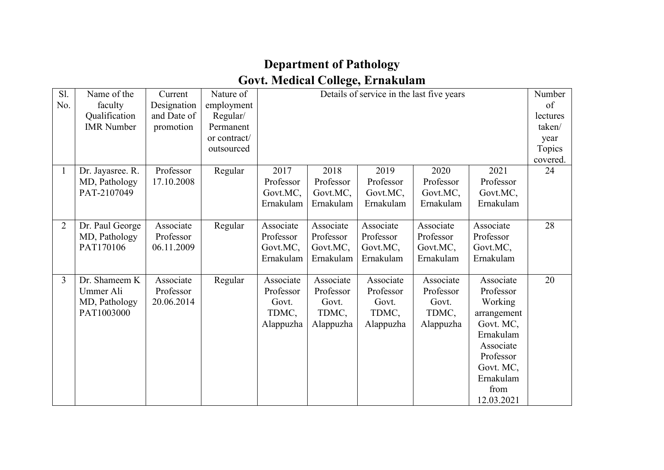## **Department of Pathology Govt. Medical College, Ernakulam**

| Sl.<br>No.     | Name of the<br>faculty<br>Qualification<br><b>IMR</b> Number | Current<br>Designation<br>and Date of<br>promotion | Nature of<br>employment<br>Regular/<br>Permanent<br>or contract/<br>outsourced | Details of service in the last five years             |                                                       |                                                       |                                                       | Number<br>of<br>lectures<br>taken/<br>year<br>Topics<br>covered.                                                                                     |    |
|----------------|--------------------------------------------------------------|----------------------------------------------------|--------------------------------------------------------------------------------|-------------------------------------------------------|-------------------------------------------------------|-------------------------------------------------------|-------------------------------------------------------|------------------------------------------------------------------------------------------------------------------------------------------------------|----|
| $\mathbf{1}$   | Dr. Jayasree. R.<br>MD, Pathology<br>PAT-2107049             | Professor<br>17.10.2008                            | Regular                                                                        | 2017<br>Professor<br>Govt.MC,<br>Ernakulam            | 2018<br>Professor<br>Govt.MC,<br>Ernakulam            | 2019<br>Professor<br>Govt.MC,<br>Ernakulam            | 2020<br>Professor<br>Govt.MC,<br>Ernakulam            | 2021<br>Professor<br>Govt.MC,<br>Ernakulam                                                                                                           | 24 |
| $\overline{2}$ | Dr. Paul George<br>MD, Pathology<br>PAT170106                | Associate<br>Professor<br>06.11.2009               | Regular                                                                        | Associate<br>Professor<br>Govt.MC,<br>Ernakulam       | Associate<br>Professor<br>Govt.MC,<br>Ernakulam       | Associate<br>Professor<br>Govt.MC,<br>Ernakulam       | Associate<br>Professor<br>Govt.MC,<br>Ernakulam       | Associate<br>Professor<br>Govt.MC,<br>Ernakulam                                                                                                      | 28 |
| 3              | Dr. Shameem K<br>Ummer Ali<br>MD, Pathology<br>PAT1003000    | Associate<br>Professor<br>20.06.2014               | Regular                                                                        | Associate<br>Professor<br>Govt.<br>TDMC,<br>Alappuzha | Associate<br>Professor<br>Govt.<br>TDMC,<br>Alappuzha | Associate<br>Professor<br>Govt.<br>TDMC,<br>Alappuzha | Associate<br>Professor<br>Govt.<br>TDMC,<br>Alappuzha | Associate<br>Professor<br>Working<br>arrangement<br>Govt. MC,<br>Ernakulam<br>Associate<br>Professor<br>Govt. MC,<br>Ernakulam<br>from<br>12.03.2021 | 20 |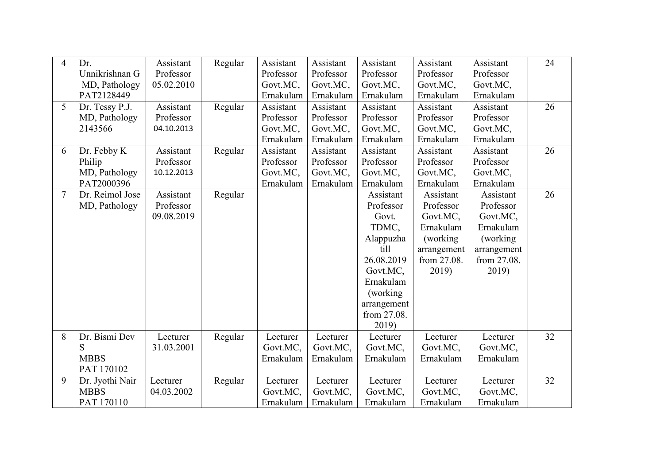| $\overline{4}$ | Dr.             | Assistant  | Regular | Assistant | Assistant | Assistant   | Assistant   | Assistant   | 24 |
|----------------|-----------------|------------|---------|-----------|-----------|-------------|-------------|-------------|----|
|                | Unnikrishnan G  | Professor  |         | Professor | Professor | Professor   | Professor   | Professor   |    |
|                | MD, Pathology   | 05.02.2010 |         | Govt.MC,  | Govt.MC,  | Govt.MC,    | Govt.MC,    | Govt.MC,    |    |
|                | PAT2128449      |            |         | Ernakulam | Ernakulam | Ernakulam   | Ernakulam   | Ernakulam   |    |
| 5              | Dr. Tessy P.J.  | Assistant  | Regular | Assistant | Assistant | Assistant   | Assistant   | Assistant   | 26 |
|                | MD, Pathology   | Professor  |         | Professor | Professor | Professor   | Professor   | Professor   |    |
|                | 2143566         | 04.10.2013 |         | Govt.MC,  | Govt.MC,  | Govt.MC,    | Govt.MC,    | Govt.MC,    |    |
|                |                 |            |         | Ernakulam | Ernakulam | Ernakulam   | Ernakulam   | Ernakulam   |    |
| 6              | Dr. Febby K     | Assistant  | Regular | Assistant | Assistant | Assistant   | Assistant   | Assistant   | 26 |
|                | Philip          | Professor  |         | Professor | Professor | Professor   | Professor   | Professor   |    |
|                | MD, Pathology   | 10.12.2013 |         | Govt.MC,  | Govt.MC,  | Govt.MC,    | Govt.MC,    | Govt.MC,    |    |
|                | PAT2000396      |            |         | Ernakulam | Ernakulam | Ernakulam   | Ernakulam   | Ernakulam   |    |
|                | Dr. Reimol Jose | Assistant  | Regular |           |           | Assistant   | Assistant   | Assistant   | 26 |
|                | MD, Pathology   | Professor  |         |           |           | Professor   | Professor   | Professor   |    |
|                |                 | 09.08.2019 |         |           |           | Govt.       | Govt.MC,    | Govt.MC,    |    |
|                |                 |            |         |           |           | TDMC,       | Ernakulam   | Ernakulam   |    |
|                |                 |            |         |           |           | Alappuzha   | (working)   | (working)   |    |
|                |                 |            |         |           |           | till        | arrangement | arrangement |    |
|                |                 |            |         |           |           | 26.08.2019  | from 27.08. | from 27.08. |    |
|                |                 |            |         |           |           | Govt.MC,    | 2019)       | 2019)       |    |
|                |                 |            |         |           |           | Ernakulam   |             |             |    |
|                |                 |            |         |           |           | (working)   |             |             |    |
|                |                 |            |         |           |           | arrangement |             |             |    |
|                |                 |            |         |           |           | from 27.08. |             |             |    |
|                |                 |            |         |           |           | 2019)       |             |             |    |
| 8              | Dr. Bismi Dev   | Lecturer   | Regular | Lecturer  | Lecturer  | Lecturer    | Lecturer    | Lecturer    | 32 |
|                | ${\bf S}$       | 31.03.2001 |         | Govt.MC,  | Govt.MC,  | Govt.MC,    | Govt.MC,    | Govt.MC,    |    |
|                | <b>MBBS</b>     |            |         | Ernakulam | Ernakulam | Ernakulam   | Ernakulam   | Ernakulam   |    |
|                | PAT 170102      |            |         |           |           |             |             |             |    |
| 9              | Dr. Jyothi Nair | Lecturer   | Regular | Lecturer  | Lecturer  | Lecturer    | Lecturer    | Lecturer    | 32 |
|                | <b>MBBS</b>     | 04.03.2002 |         | Govt.MC,  | Govt.MC,  | Govt.MC,    | Govt.MC,    | Govt.MC,    |    |
|                | PAT 170110      |            |         | Ernakulam | Ernakulam | Ernakulam   | Ernakulam   | Ernakulam   |    |